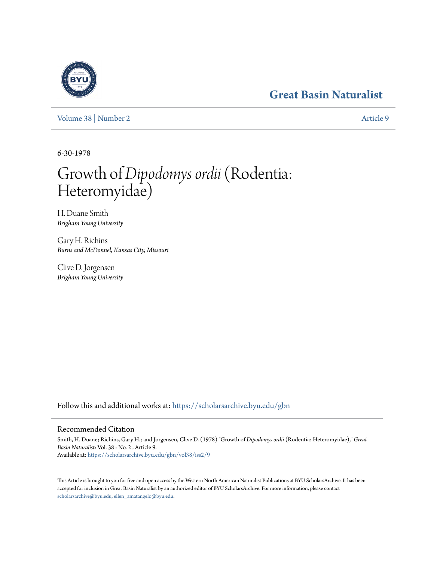## **[Great Basin Naturalist](https://scholarsarchive.byu.edu/gbn?utm_source=scholarsarchive.byu.edu%2Fgbn%2Fvol38%2Fiss2%2F9&utm_medium=PDF&utm_campaign=PDFCoverPages)**

[Volume 38](https://scholarsarchive.byu.edu/gbn/vol38?utm_source=scholarsarchive.byu.edu%2Fgbn%2Fvol38%2Fiss2%2F9&utm_medium=PDF&utm_campaign=PDFCoverPages) | [Number 2](https://scholarsarchive.byu.edu/gbn/vol38/iss2?utm_source=scholarsarchive.byu.edu%2Fgbn%2Fvol38%2Fiss2%2F9&utm_medium=PDF&utm_campaign=PDFCoverPages) [Article 9](https://scholarsarchive.byu.edu/gbn/vol38/iss2/9?utm_source=scholarsarchive.byu.edu%2Fgbn%2Fvol38%2Fiss2%2F9&utm_medium=PDF&utm_campaign=PDFCoverPages)

6-30-1978

# Growth of *Dipodomys ordii*(Rodentia: Heteromyidae)

H. Duane Smith *Brigham Young University*

Gary H. Richins *Burns and McDonnel, Kansas City, Missouri*

Clive D. Jorgensen *Brigham Young University*

Follow this and additional works at: [https://scholarsarchive.byu.edu/gbn](https://scholarsarchive.byu.edu/gbn?utm_source=scholarsarchive.byu.edu%2Fgbn%2Fvol38%2Fiss2%2F9&utm_medium=PDF&utm_campaign=PDFCoverPages)

### Recommended Citation

Smith, H. Duane; Richins, Gary H.; and Jorgensen, Clive D. (1978) "Growth of *Dipodomys ordii* (Rodentia: Heteromyidae)," *Great Basin Naturalist*: Vol. 38 : No. 2 , Article 9. Available at: [https://scholarsarchive.byu.edu/gbn/vol38/iss2/9](https://scholarsarchive.byu.edu/gbn/vol38/iss2/9?utm_source=scholarsarchive.byu.edu%2Fgbn%2Fvol38%2Fiss2%2F9&utm_medium=PDF&utm_campaign=PDFCoverPages)

This Article is brought to you for free and open access by the Western North American Naturalist Publications at BYU ScholarsArchive. It has been accepted for inclusion in Great Basin Naturalist by an authorized editor of BYU ScholarsArchive. For more information, please contact [scholarsarchive@byu.edu, ellen\\_amatangelo@byu.edu.](mailto:scholarsarchive@byu.edu,%20ellen_amatangelo@byu.edu)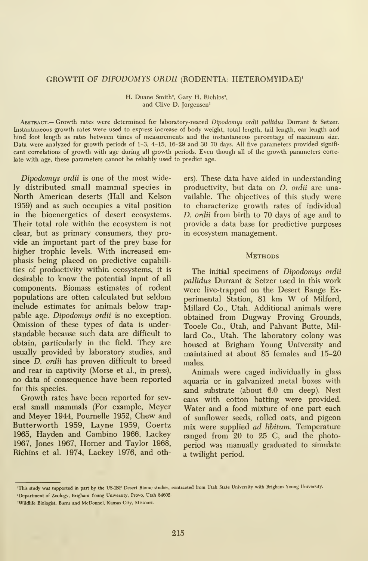#### GROWTH OF DIPODOMYS ORDII (RODENTIA: HETEROMYIDAE)'

H. Duane Smith<sup>2</sup>, Gary H. Richins<sup>3</sup>, and Clive D. Jorgensen<sup>2</sup>

Abstract.— Growth rates were determined for laboratory-reared Dipodomys ordii pallidas Durrant & Setzer. Instantaneous growth rates were used to express increase of body weight, total length, tail length, ear length and hind foot length as rates between times of measurements and the instantaneous percentage of maximum size. Data were analyzed for growth periods of 1-3, 4-15, 16-29 and 30-70 days. All five parameters provided signifi cant correlations of growth with age during all growth periods. Even though all of the growth parameters correlate with age, these parameters cannot be reliably used to predict age.

Dipodomys ordii is one of the most widely distributed small mammal species in North American deserts (Hall and Kelson 1959) and as such occupies a vital position in the bioenergetics of desert ecosystems. Their total role within the ecosystem is not clear, but as primary consumers, they pro vide an important part of the prey base for higher trophic levels. With increased emphasis being placed on predictive capabilities of productivity within ecosystems, it is desirable to know the potential input of all components. Biomass estimates of rodent populations are often calculated but seldom include estimates for animals below trappable age. Dipodomys ordii is no exception. Omission of these types of data is understandable because such data are difficult to obtain, particularly in the field. They are usually provided by laboratory studies, and since D. ordii has proven difficult to breed and rear in captivity (Morse et al., in press), no data of consequence have been reported for this species.

Growth rates have been reported for several small mammals (For example, Meyer and Meyer 1944, Poumelle 1952, Chew and Butterworth 1959, Layne 1959, Goertz 1965, Hayden and Gambino 1966, Lackey 1967, Jones 1967, Homer and Taylor 1968, Richins et al. 1974, Lackey 1976, and others). These data have aided in understanding productivity, but data on D. ordii are unavailable. The objectives of this study were to characterize growth rates of individual D. ordii from birth to 70 days of age and to provide a data base for predictive purposes in ecosystem management.

#### **METHODS**

The initial specimens of Dipodomys ordii pallidus Durrant & Setzer used in this work were live-trapped on the Desert Range Ex perimental Station, <sup>81</sup> km W of Milford, Millard Co., Utah. Additional animals were obtained from Dugway Proving Grounds, Tooele Co., Utah, and Pahvant Butte, Millard Co., Utah. The laboratory colony was housed at Brigham Young University and maintained at about 85 females and 15-20 males.

Animals were caged individually in glass aquaria or in galvanized metal boxes with sand substrate (about 6.0 cm deep). Nest cans with cotton batting were provided. Water and a food mixture of one part each of sunflower seeds, rolled oats, and pigeon mix were supplied ad libitum. Temperature ranged from 20 to 25 C, and the photoperiod was manually graduated to simulate a twilight period.

<sup>&#</sup>x27;This study was supported in part by the US-ffiP Desert Biome studies, contracted from Utah State University with Brigham Young University. 'Department of Zoology, Brigham Young University, Provo, Utah 84602.

<sup>&</sup>lt;sup>3</sup>Wildlife Biologist, Burns and McDonnel, Kansas City, Missouri.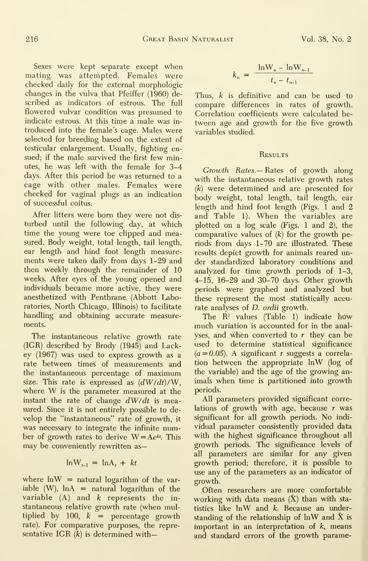Sexes were kept separate except when mating was attempted. Females were checked daily for the external morphologic changes in the vulva that Pfeiffer (1960) de scribed as indicators of estrous. The full flowered vulvar condition was presumed to indicate estrous. At this time a male was in troduced into the female's cage. Males were selected for breeding based on the extent of testicular enlargement. Usually, fighting ensued; if the male survived the first few minutes, he was left with the female for 3-4 days. After this period he was returned to a cage with other males. Females were checked for vaginal plugs as an indication of successful coitus.

After litters were bom they were not dis turbed until the following day, at which time the young were toe clipped and measured. Body weight, total length, tail length, ear length and hind foot length measure ments were taken daily from days 1-29 and then weekly through the remainder of 10 weeks. After eyes of the young opened and individuals became more active, they were anesthetized with Penthrane (Abbott Laboratories, North Chicago, Illinois) to facilitate handling and obtaining accurate measurements.

The instantaneous relative growth rate (IGR) described by Brody (1945) and Lackey (1967) was used to express growth as a rate between times of measurements and the instantaneous percentage of maximum size. This rate is expressed as  $(dW/dt)/W$ , where W is the parameter measured at the instant the rate of change  $dW/dt$  is measured. Since it is not entirely possible to de velop the "instantaneous" rate of growth, it was necessary to integrate the infinite number of growth rates to derive  $W = Ae^{kt}$ . This may be conveniently rewritten as—

$$
\ln W_{t-1} = \ln A_t + kt
$$

where  $ln W =$  natural logarithm of the variable  $(W)$ ,  $\ln A =$  natural logarithm of the variable  $(A)$  and  $k$  represents the instantaneous relative growth rate (when multiplied by 100,  $k =$  percentage growth rate). For comparative purposes, the representative IGR  $(k)$  is determined with-

$$
k_n = \frac{\ln W_n - \ln W_{n-1}}{t_n - t_{n-1}}
$$

Thus, k is definitive and can be used to compare differences in rates of growth. Correlation coefficients were calculated between age and growth for the five growth variables studied.

#### Results

Growth Rates.— Rates of growth along with the instantaneous relative growth rates (k) were determined and are presented for body weight, total length, tail length, ear length and hind foot length (Figs. <sup>1</sup> and 2 and Table 1). When the variables are plotted on a log scale (Figs. <sup>1</sup> and 2), the comparative values of  $(k)$  for the growth periods from days 1-70 are illustrated. These results depict growth for animals reared under standardized laboratory conditions and analyzed for time growth periods of 1-3, 4-15, 16-29 and 30-70 days. Other growth periods were graphed and analyzed but these represent the most statistically accurate analyses of D. ordii growth.

The  $\mathbb{R}^2$  values (Table 1) indicate how much variation is accounted for in the analyses, and when converted to  $r$  they can be used to determine statistical significance  $(a=0.05)$ . A significant r suggests a correlation between the appropriate InW (log of the variable) and the age of the growing an imals when time is partitioned into growth periods.

All parameters provided significant correlations of growth with age, because  $r$  was significant for all growth periods. No indi vidual parameter consistently provided data with the highest significance throughout all growth periods. The significance levels of all parameters are similar for any given growth period; therefore, it is possible to use any of the parameters as an indicator of growth.

Often researchers are more comfortable working with data means  $(X)$  than with statistics like InW and k. Because an understanding of the relationship of  $\ln W$  and X is important in an interpretation of  $k$ , means and standard errors of the growth parame-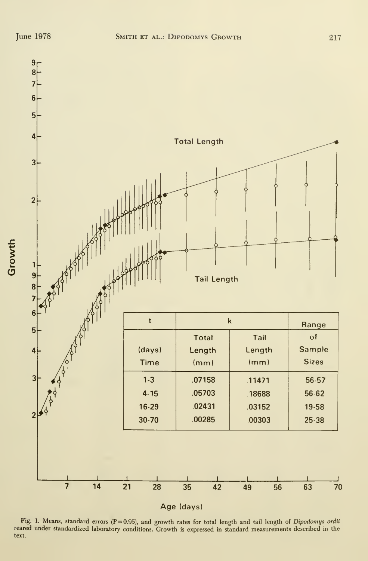

Fig. 1. Means, standard errors (P=0.95), and growth rates for total length and tail length of Dipodomys ordii reared under standardized laboratory conditions. Growth is expressed in standard measurements described in the text.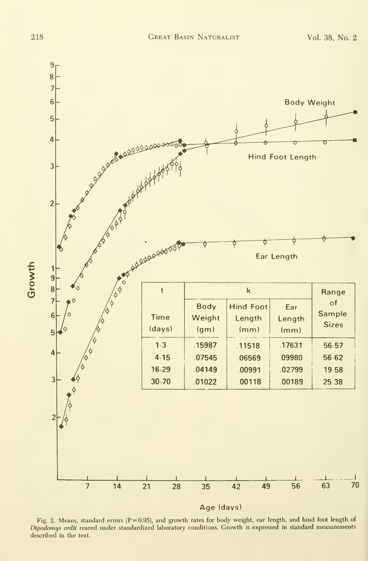Growth



Age (days)

Fig. 2. Means, standard errors ( $P = 0.95$ ), and growth rates for body weight, ear length, and hind foot length of Dipodomys ordii reared under standardized laboratory conditions. Growth is expressed in standard measurements described in the text.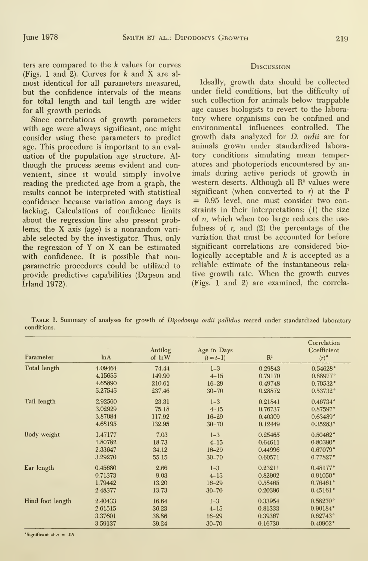ters are compared to the k values for curves (Figs. 1 and 2). Curves for  $k$  and  $\bar{X}$  are almost identical for all parameters measured, but the confidence intervals of the means for total length and tail length are wider for all growth periods.

Since correlations of growth parameters with age were always significant, one might consider using these parameters to predict age. This procedure is important to an eval uation of the population age structure. Al though the process seems evident and convenient, since it would simply involve reading the predicted age from a graph, the results cannot be interpreted with statistical confidence because variation among days is lacking. Calculations of confidence limits about the regression line also present problems; the X axis (age) is <sup>a</sup> nonrandom vari able selected by the investigator. Thus, only the regression of Y on X can be estimated with confidence. It is possible that nonparametric procedures could be utilized to provide predictive capabilities (Dapson and Irland 1972).

#### Discussion

Ideally, growth data should be collected under field conditions, but the difficulty of such collection for animals below trappable age causes biologists to revert to the labora tory where organisms can be confined and environmental influences controlled. The growth data analyzed for D. ordii are for animals grown under standardized labora tory conditions simulating mean temperatures and photoperiods encountered by an imals during active periods of growth in western deserts. Although all  $R<sup>2</sup>$  values were significant (when converted to  $r$ ) at the P = 0.95 level, one must consider two constraints in their interpretations: (1) the size of n, which when too large reduces the usefulness of  $r$ , and  $(2)$  the percentage of the variation that must be accounted for before significant correlations are considered biologically acceptable and  $k$  is accepted as a reliable estimate of the instantaneous rela tive growth rate. When the growth curves (Figs. <sup>1</sup> and 2) are examined, the correla-

Table 1. Summary of analyses for growth of Dipodomys ordii pallidus reared under standardized laboratory conditions.

| Parameter        | ln A    | Antilog<br>of lnW | Age in Days<br>$(t = t-1)$ | $\mathbb{R}^2$ | Correlation<br>Coefficient<br>$(r)$ ° |
|------------------|---------|-------------------|----------------------------|----------------|---------------------------------------|
| Total length     | 4.09464 | 74.44             | $1 - 3$                    | 0.29843        | 0.54628°                              |
|                  | 4.15655 | 149.90            | $4 - 15$                   | 0.79170        | 0.88977°                              |
|                  | 4.65890 | 210.61            | $16 - 29$                  | 0.49748        | 0.70532                               |
|                  | 5.27545 | 237.46            | $30 - 70$                  | 0.28872        | $0.53732$ °                           |
| Tail length      | 2.92560 | 23.31             | $1-3$                      | 0.21841        | $0.46734$ °                           |
|                  | 3.02929 | 75.18             | $4 - 15$                   | 0.76737        | $0.87597$ °                           |
|                  | 3.87084 | 117.92            | $16 - 29$                  | 0.40309        | $0.63489$ °                           |
|                  | 4.68195 | 132.95            | $30 - 70$                  | 0.12449        | 0.35283                               |
| Body weight      | 1.47177 | 7.03              | $1 - 3$                    | 0.25465        | $0.50462$ °                           |
|                  | 1.80782 | 18.73             | $4 - 15$                   | 0.64611        | $0.80380$ °                           |
|                  | 2.33647 | 34.12             | $16 - 29$                  | 0.44996        | $0.67079$ °                           |
|                  | 3.29270 | 55.15             | $30 - 70$                  | 0.60571        | 0.77827                               |
| Ear length       | 0.45680 | 2.66              | $1 - 3$                    | 0.23211        | $0.48177$ °                           |
|                  | 0.71373 | 9.03              | $4 - 15$                   | 0.82902        | $0.91050$ °                           |
|                  | 1.79442 | 13.20             | $16 - 29$                  | 0.58465        | $0.76461$ °                           |
|                  | 2.48377 | 13.73             | $30 - 70$                  | 0.20396        | 0.45161                               |
| Hind foot length | 2.40433 | 16.64             | $1 - 3$                    | 0.33954        | 0.58270°                              |
|                  | 2.61515 | 36.23             | $4 - 15$                   | 0.81333        | $0.90184$ °                           |
|                  | 3.37601 | 38.86             | $16 - 29$                  | 0.39367        | 0.62743°                              |
|                  | 3.59137 | 39.24             | $30 - 70$                  | 0.16730        | 0.40902                               |

\*Significant at  $a = .05$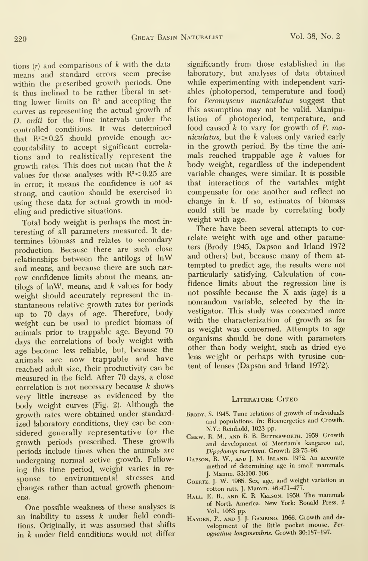tions  $(r)$  and comparisons of  $k$  with the data means and standard errors seem precise within the prescribed growth periods. One is thus inclined to be rather liberal in setting lower limits on  $\mathbb{R}^2$  and accepting the curves as representing the actual growth of D. ordii for the time intervals under the controlled conditions. It was determined that  $R^2 \ge 0.25$  should provide enough accountability to accept significant correla tions and to realistically represent the growth rates. This does not mean that the  $k$ values for those analyses with  $R^2$ <0.25 are in error; it means the confidence is not as strong, and caution should be exercised in using these data for actual growth in modeling and predictive situations.

Total body weight is perhaps the most in teresting of all parameters measured. It de termines biomass and relates to secondary production. Because there are such close relationships between the antilogs of InW and means, and because there are such nar row confidence limits about the means, antilogs of  $ln W$ , means, and  $k$  values for body weight should accurately represent the in stantaneous relative growth rates for periods up to 70 days of age. Therefore, body weight can be used to predict biomass of animals prior to trappable age. Beyond 70 days the correlations of body weight with age become less reliable, but, because the animals are now trappable and have reached adult size, their productivity can be measured in the field. After 70 days, a close correlation is not necessary because k shows very little increase as evidenced by the body weight curves (Fig. 2). Although the growth rates were obtained under standard ized laboratory conditions, they can be con sidered generally representative for the growth periods prescribed. These growth periods include times when the animals are undergoing normal active growth. Following this time period, weight varies in re sponse to environmental stresses and changes rather than actual growth phenomena.

One possible weakness of these analyses is an inability to assess  $k$  under field conditions. Originally, it was assumed that shifts in  $k$  under field conditions would not differ significantly from those established in the laboratory, but analyses of data obtained while experimenting with independent vari ables (photoperiod, temperature and food) for Peromyscus maniculatus suggest that this assumption may not be valid. Manipulation of photoperiod, temperature, and food caused  $k$  to vary for growth of  $P$ . maniculatus, but the k values only varied early in the growth period. By the time the ani mals reached trappable age  $k$  values for body weight, regardless of the independent variable changes, were similar. It is possible that interactions of the variables might compensate for one another and reflect no change in  $k$ . If so, estimates of biomass could still be made by correlating body weight with age.

There have been several attempts to correlate weight with age and other parameters (Brody 1945, Dapson and Irland 1972 and others) but, because many of them at tempted to predict age, the results were not particularly satisfying. Calculation of confidence limits about the regression line is not possible because the X axis (age) is <sup>a</sup> nonrandom variable, selected by the in vestigator. This study was concerned more with the characterization of growth as far as weight was concerned. Attempts to age organisms should be done with parameters other than body weight, such as dried eye lens weight or perhaps with tyrosine content of lenses (Dapson and Irland 1972).

#### LITERATURE CITED

- BRODY, S. 1945. Time relations of growth of individuals and populations. In: Bioenergetics and Growth. N.Y.: Reinhold, 1023 pp.
- Chew, R. M., and B. B. Butterworth. 1959. Growth and development of Merriam's kangaroo rat, Dipodomys merriami. Growth 23:75-96.
- Dapson, R. W., and J. M. Irland. 1972. An accurate method of determining age in small mammals. J. Mamm. 53:100-106.
- GoERTZ, J. W. 1965. Sex, age, and weight variation in cotton rats. J. Mamm. 46:471-477.
- Hall, E. R., and K. R. Kelson. 1959. The mammals of North America. New York: Ronald Press, 2 Vol., 1083 pp.
- HAYDEN, P., AND J. J. GAMBINO. 1966. Growth and development of the little pocket mouse, Per ognathus longimembris. Growth 30:187-197.